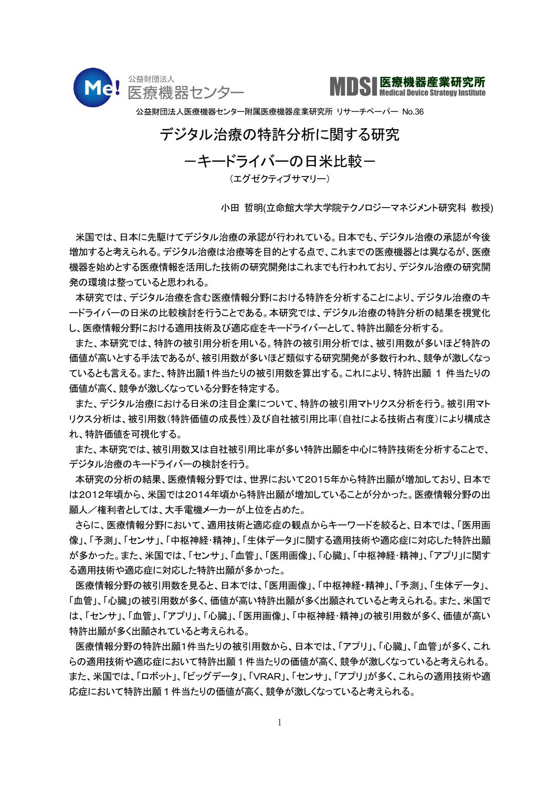



公益財団法人医療機器センター附属医療機器産業研究所 リサーチペーパー No.36

## デジタル治療の特許分析に関する研究

ーキードライバーの日米比較ー

(エグゼクティブサマリー)

小田 哲明(立命館大学大学院テクノロジーマネジメント研究科 教授)

 米国では、日本に先駆けてデジタル治療の承認が行われている。日本でも、デジタル治療の承認が今後 増加すると考えられる。デジタル治療は治療等を目的とする点で、これまでの医療機器とは異なるが、医療 機器を始めとする医療情報を活用した技術の研究開発はこれまでも行われており、デジタル治療の研究開 発の環境は整っていると思われる。

 本研究では、デジタル治療を含む医療情報分野における特許を分析することにより、デジタル治療のキ ードライバーの日米の比較検討を行うことである。本研究では、デジタル治療の特許分析の結果を視覚化 し、医療情報分野における適用技術及び適応症をキードライバーとして、特許出願を分析する。

 また、本研究では、特許の被引用分析を用いる。特許の被引用分析では、被引用数が多いほど特許の 価値が高いとする手法であるが、被引用数が多いほど類似する研究開発が多数行われ、競争が激しくなっ ているとも言える。また、特許出願1件当たりの被引用数を算出する。これにより、特許出願 1 件当たりの 価値が高く、競争が激しくなっている分野を特定する。

 また、デジタル治療における日米の注目企業について、特許の被引用マトリクス分析を行う。被引用マト リクス分析は、被引用数(特許価値の成長性)及び自社被引用比率(自社による技術占有度)により構成さ れ、特許価値を可視化する。

 また、本研究では、被引用数又は自社被引用比率が多い特許出願を中心に特許技術を分析することで、 デジタル治療のキードライバーの検討を行う。

 本研究の分析の結果、医療情報分野では、世界において2015年から特許出願が増加しており、日本で は2012年頃から、米国では2014年頃から特許出願が増加していることが分かった。医療情報分野の出 願人/権利者としては、大手電機メーカーが上位を占めた。

 さらに、医療情報分野において、適用技術と適応症の観点からキーワードを絞ると、日本では、「医用画 像」、「予測」、「センサ」、「中枢神経・精神」、「生体データ」に関する適用技術や適応症に対応した特許出願 が多かった。また、米国では、「センサ」、「血管」、「医用画像」、「心臓」、「中枢神経・精神」、「アプリ」に関す る適用技術や適応症に対応した特許出願が多かった。

 医療情報分野の被引用数を見ると、日本では、「医用画像」、「中枢神経・精神」、「予測」、「生体データ」、 「血管」、「心臓」の被引用数が多く、価値が高い特許出願が多く出願されていると考えられる。また、米国で は、「センサ」、「血管」、「アプリ」、「心臓」、「医用画像」、「中枢神経・精神」の被引用数が多く、価値が高い 特許出願が多く出願されていると考えられる。

 医療情報分野の特許出願1件当たりの被引用数から、日本では、「アプリ」、「心臓」、「血管」が多く、これ らの適用技術や適応症において特許出願 1 件当たりの価値が高く、競争が激しくなっていると考えられる。 また、米国では、「ロボット」、「ビッグデータ」、「VRAR」、「センサ」、「アプリ」が多く、これらの適用技術や適 応症において特許出願 1 件当たりの価値が高く、競争が激しくなっていると考えられる。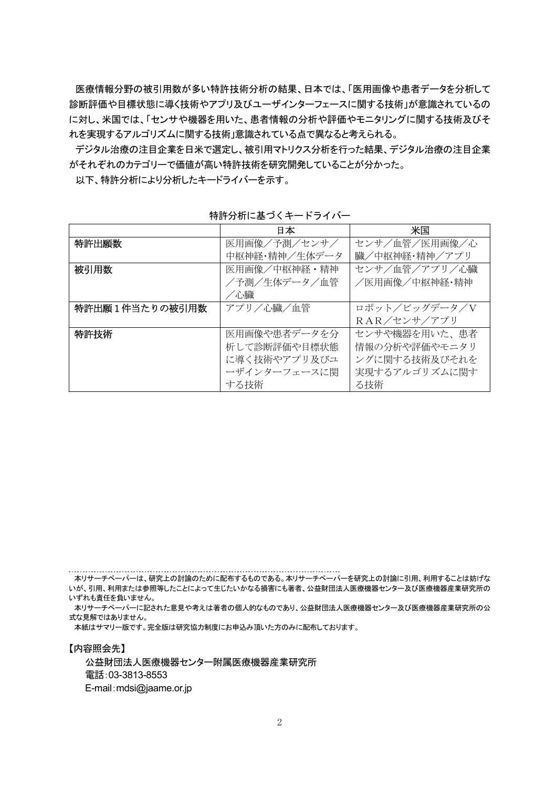医療情報分野の被引用数が多い特許技術分析の結果、日本では、「医用画像や患者データを分析して 診断評価や目標状態に導く技術やアプリ及びユーザインターフェースに関する技術」が意識されているの に対し、米国では、「センサや機器を用いた、患者情報の分析や評価やモニタリングに関する技術及びそ れを実現するアルゴリズムに関する技術」意識されている点で異なると考えられる。

 デジタル治療の注目企業を日米で選定し、被引用マトリクス分析を行った結果、デジタル治療の注目企業 がそれぞれのカテゴリーで価値が高い特許技術を研究開発していることが分かった。

以下、特許分析により分析したキードライバーを示す。

|                | 日本            | 米国            |  |
|----------------|---------------|---------------|--|
| 特許出願数          | 医用画像/予測/センサ/  | センサ/血管/医用画像/心 |  |
|                | 中枢神経・精神/生体データ | 臓/中枢神経・精神/アプリ |  |
| 被引用数           | 医用画像/中枢神経・精神  | センサ/血管/アプリ/心臓 |  |
|                | /予測/生体データ/血管  | /医用画像/中枢神経・精神 |  |
|                | /心臓           |               |  |
| 特許出願1件当たりの被引用数 | アプリ/心臓/血管     | ロボット/ビッグデータ/V |  |
|                |               | RAR/センサ/アプリ   |  |
| 特許技術           | 医用画像や患者データを分  | センサや機器を用いた、患者 |  |
|                | 析して診断評価や目標状態  | 情報の分析や評価やモニタリ |  |
|                | に導く技術やアプリ及びユ  | ングに関する技術及びそれを |  |
|                | ーザインターフェースに関  | 実現するアルゴリズムに関す |  |
|                | する技術          | る技術           |  |

特許分析に基づくキードライバー

本リサーチペーパーに記された意見や考えは著者の個人的なものであり、公益財団法人医療機器センター及び医療機器産業研究所の公 式な見解ではありません。

本紙はサマリー版です。完全版は研究協力制度にお申込み頂いた方のみに配布しております。

【内容照会先】 公益財団法人医療機器センター附属医療機器産業研究所 電話:03-3813-8553 E-mail:mdsi@jaame.or.jp

本リサーチペーパーは、研究上の討論のために配布するものである。本リサーチペーパーを研究上の討論に引用、利用することは妨げな いが、引用、利用または参照等したことによって生じたいかなる損害にも著者、公益財団法人医療機器センター及び医療機器産業研究所の いずれも責任を負いません。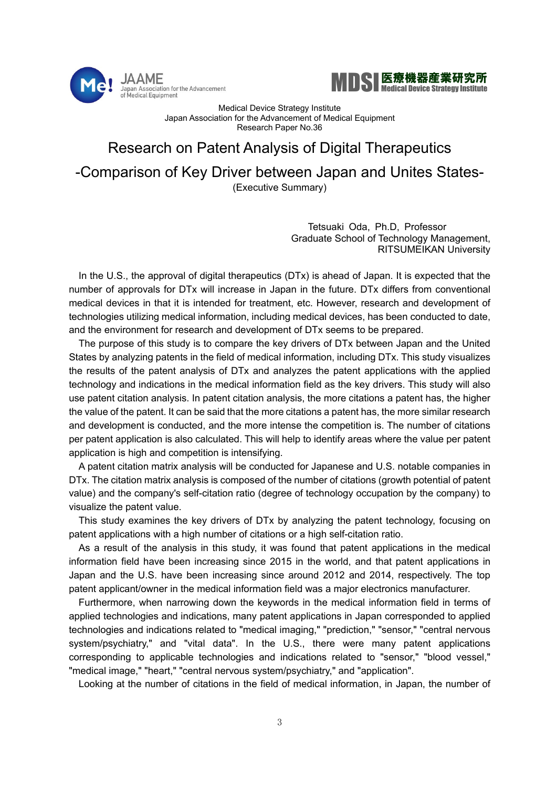



Medical Device Strategy Institute Japan Association for the Advancement of Medical Equipment Research Paper No.36

## Research on Patent Analysis of Digital Therapeutics -Comparison of Key Driver between Japan and Unites States- (Executive Summary)

Tetsuaki Oda, Ph.D, Professor Graduate School of Technology Management, RITSUMEIKAN University

In the U.S., the approval of digital therapeutics (DTx) is ahead of Japan. It is expected that the number of approvals for DTx will increase in Japan in the future. DTx differs from conventional medical devices in that it is intended for treatment, etc. However, research and development of technologies utilizing medical information, including medical devices, has been conducted to date, and the environment for research and development of DTx seems to be prepared.

The purpose of this study is to compare the key drivers of DTx between Japan and the United States by analyzing patents in the field of medical information, including DTx. This study visualizes the results of the patent analysis of DTx and analyzes the patent applications with the applied technology and indications in the medical information field as the key drivers. This study will also use patent citation analysis. In patent citation analysis, the more citations a patent has, the higher the value of the patent. It can be said that the more citations a patent has, the more similar research and development is conducted, and the more intense the competition is. The number of citations per patent application is also calculated. This will help to identify areas where the value per patent application is high and competition is intensifying.

A patent citation matrix analysis will be conducted for Japanese and U.S. notable companies in DTx. The citation matrix analysis is composed of the number of citations (growth potential of patent value) and the company's self-citation ratio (degree of technology occupation by the company) to visualize the patent value.

This study examines the key drivers of DTx by analyzing the patent technology, focusing on patent applications with a high number of citations or a high self-citation ratio.

As a result of the analysis in this study, it was found that patent applications in the medical information field have been increasing since 2015 in the world, and that patent applications in Japan and the U.S. have been increasing since around 2012 and 2014, respectively. The top patent applicant/owner in the medical information field was a major electronics manufacturer.

Furthermore, when narrowing down the keywords in the medical information field in terms of applied technologies and indications, many patent applications in Japan corresponded to applied technologies and indications related to "medical imaging," "prediction," "sensor," "central nervous system/psychiatry," and "vital data". In the U.S., there were many patent applications corresponding to applicable technologies and indications related to "sensor," "blood vessel," "medical image," "heart," "central nervous system/psychiatry," and "application".

Looking at the number of citations in the field of medical information, in Japan, the number of